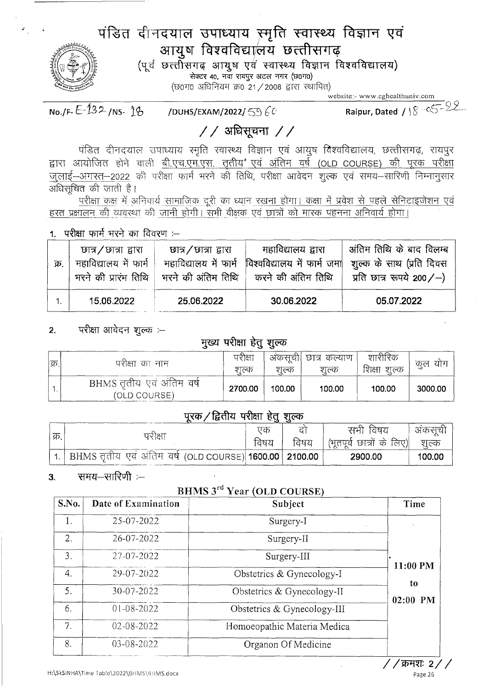# पंडित दीनदयाल उपाध्याय स्मृति स्वास्थ्य विज्ञान एवं आयुष विश्वविद्यालय छत्तीसगढ़

(पूर्व छत्तीसगढ़ आयुष एवं स्वास्थ्य विज्ञान विश्वविद्यालय) सेक्टर 40, नवा रायपुर अटल नगर (छ0ग0) (छ0ग0 अधिनियम क्र0 21 / 2008 द्वारा स्थापित)

website:- www.cghealthuniv.com

Raipur, Dated /  $8 - 22$ No./F- $E$ -132/NS-18 /DUHS/EXAM/2022/5360

 $//$  अधिसूचना //

पंडित दीनदयाल उपाध्याय स्मृति स्वास्थ्य विज्ञान एवं आयुष विश्वविद्यालय, छत्तीसगढ़, रायपुर द्वारा आयोजित होने वाली <u>बी.एच.एम.एस. तृतीय' एवं अंतिम वर्ष (OLD COURSE) की पूरक परीक्षा</u> जुलाई–अगस्त–2022 की परीक्षा फार्म भरने की तिथि, परीक्षा आवेदन शूल्क एवं समय–सारिणी निम्नानुसार अधिसूचित की जाती है।

परीक्षा कक्ष में अनिवार्य सामाजिक दूरी का ध्यान रखना होगा। कक्षा में प्रवेश से पहले सेनिटाइजेशन एवं हस्त प्रक्षालन की व्यवस्था की जानी होगी। सभी वीक्षक एवं छात्रों को मास्क पहनना अनिवार्य होगा।

1. परीक्षा फार्म भरने का विवरण :--

परीक्षा आवेदन शूल्क :-- $2.$ 

#### मुख्य परीक्षा हेतु शुल्क

| क्र. | परीक्षा का नाम                            | परीक्षा<br>शल्क | शल्क   | अकसूची। छात्र कल्याण<br>शल्क | शारीरिक<br>शिक्षा<br>शुल्क | याग<br>कुल |
|------|-------------------------------------------|-----------------|--------|------------------------------|----------------------------|------------|
|      | BHMS तृतीय एवं अंतिम वर्ष<br>(OLD COURSE) | 2700.00         | 100.00 | 100.00                       | 100.00                     | 3000.00    |

### परक / द्वितीय परीक्षा हेतु शुल्क

|       |                                                               | णक   |      | विषय<br>सभा                 | अकसचे  |
|-------|---------------------------------------------------------------|------|------|-----------------------------|--------|
| ्क्र. | पराक्षा                                                       | विषय | विषय | ' (भूतपूर्व छात्रों के लिए) | शल्क   |
|       | ा.   BHMS तृतीय एवं अंतिम वर्ष (OLD COURSE) 1600.00   2100.00 |      |      | 2900.00                     | 100.00 |

#### समय-सारिणी :- $3<sub>l</sub>$

### BHMS 3<sup>rd</sup> Year (OLD COURSE)

| S.No.          | Date of Examination                       | Subject                     | Time              |
|----------------|-------------------------------------------|-----------------------------|-------------------|
| 1.             | 25-07-2022<br>Surgery-I                   |                             |                   |
| 2.             | 26-07-2022                                | Surgery-II                  |                   |
| 3.             | 27-07-2022                                | Surgery-III                 |                   |
| 4.             | 29-07-2022<br>Obstetrics & Gynecology-I   |                             | 11:00 PM          |
| 5.             | 30-07-2022                                | Obstetrics & Gynecology-II  | to.<br>$02:00$ PM |
| 6.             | $01 - 08 - 2022$                          | Obstetrics & Gynecology-III |                   |
| 7 <sub>1</sub> | 02-08-2022<br>Homoeopathic Materia Medica |                             |                   |
| 8.             | 03-08-2022                                | Organon Of Medicine         |                   |

*' / क्रमशः 2 / /* Page 26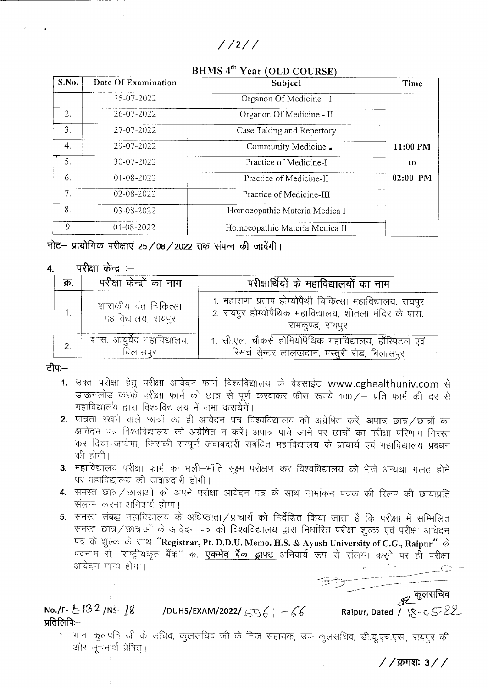### $1/211$

## BHMS 4<sup>th</sup> Year (OLD COURSE)

| S.No.            | Date Of Examination | Subject                        | Time     |  |
|------------------|---------------------|--------------------------------|----------|--|
| $\mathbf{1}_{+}$ | 25-07-2022          | Organon Of Medicine - I        |          |  |
| 2.               | 26-07-2022          | Organon Of Medicine - II       |          |  |
| 3.               | 27-07-2022          | Case Taking and Repertory      |          |  |
| 4.               | 29-07-2022          | Community Medicine.            | 11:00 PM |  |
| 5.               | 30-07-2022          | Practice of Medicine-I         | to       |  |
| 6.               | $01-08-2022$        | Practice of Medicine-II        | 02:00 PM |  |
| 7.               | 02-08-2022          | Practice of Medicine-III       |          |  |
| 8.               | 03-08-2022          | Homoeopathic Materia Medica I  |          |  |
| 9                | 04-08-2022          | Homoeopathic Materia Medica II |          |  |

नोट- प्रायोगिक परीक्षाएं 25/08/2022 तक संपन्न की जावेंगी।

#### परीक्षा केन्द्र $:=$ 4.

| क्र. | परीक्षा केन्द्रों का नाम                  | परीक्षार्थियों के महाविद्यालयों का नाम                                                                                                  |  |
|------|-------------------------------------------|-----------------------------------------------------------------------------------------------------------------------------------------|--|
|      | शासकीय दत चिकित्सा<br>महाविद्यालय, रायपुर | 1. महाराणा प्रताप होम्योपैथी चिकित्सा महाविद्यालय, रायपुर<br>2. रायपुर होम्योपैथिक महाविद्यालय, शीतला मंदिर के पास,<br>रामकुण्ड, रायपुर |  |
|      | शास. आयुर्वेद महाविद्यालय,<br>बिलासपुर    | 1. सी.एल. चौकसे होमियोपैथिक महाविद्यालय, हॉस्पिटल एवं<br>रिसर्च सेन्टर लालखदान, मस्तुरी रोड, बिलासपुर                                   |  |

ਟੀਧ:—

- 1. उक्त परीक्षा हेतु परीक्षा आवेदन फार्म विश्वविद्यालय के वेबसाईट www.cghealthuniv.com से डाऊनलोड करके परीक्षा फार्म को छात्र से पूर्ण करवाकर फीस रूपये 100/- प्रति फार्म की दर से महाविद्यालय द्वारा विश्वविद्यालय में जमा करायेगें।
- 2. पात्रता रखने वाले छात्रों का ही आवेदन पत्र विश्वविद्यालय को अग्रेषित करें, **अपात्र** छात्र / छात्रों का .<br>आवेदन पत्र विश्वविद्यालय को अग्रेषित न करें। अपात्र पाये जाने पर छात्रों का परीक्षा परिणाम निरस्त कर दिया जायेगा, जिसकी सम्पूर्ण जवाबदारी संबंधित महाविद्यालय के प्राचार्य एवं महाविद्यालय प्रबंधन की होगी।
- 3. महाविद्यालय परीक्षा फार्म का भली–भाँति सूक्ष्म परीक्षण कर विश्वविद्यालय को भेजे अन्यथा गलत होने पर महाविद्यालय की जवाबदारी होगी।
- 4. समस्त छात्र/छात्राओं को अपने परीक्षा आवेदन पत्र के साथ नामांकन पत्रक की स्लिप की छायाप्रति संलग्न करना अनिवार्य होगा।
- 5. समस्त संबद्ध महाविद्यालय के अधिष्ठाता / प्राचार्य को निर्देशित किया जाता है कि परीक्षा में सम्मिलित समस्त छात्र/छात्राओं के आवेदन पत्र को विश्वविद्यालय द्वारा निर्धारित परीक्षा शुल्क एवं परीक्षा आवेदन पत्र के शुल्क के साथ "Registrar, Pt. D.D.U. Memo. H.S. & Ayush University of C.G., Raipur" के पदनाम से "राष्ट्रीयकृत बैंक" का <mark>एकमेव बैंक ड्राफ्ट</mark> अनिवार्य रूप से संलग्न करने पर ही परीक्षा आवेदन मान्य होगा।

्र्यू कुलसचिव No./F- E-132/NS-18 /DUHS/EXAM/2022/ 596 | -66 Raipur, Dated /  $8-6$ प्रतिलिपि:—

1. मान. कुलपति जी के सचिव, कुलसचिव जी के निज सहायक, उप-कुलसचिव, डी.यू.एच.एस., रायपुर की ओर सूचनार्थ प्रेषित् ।

/ / क्रमशः 3 / /